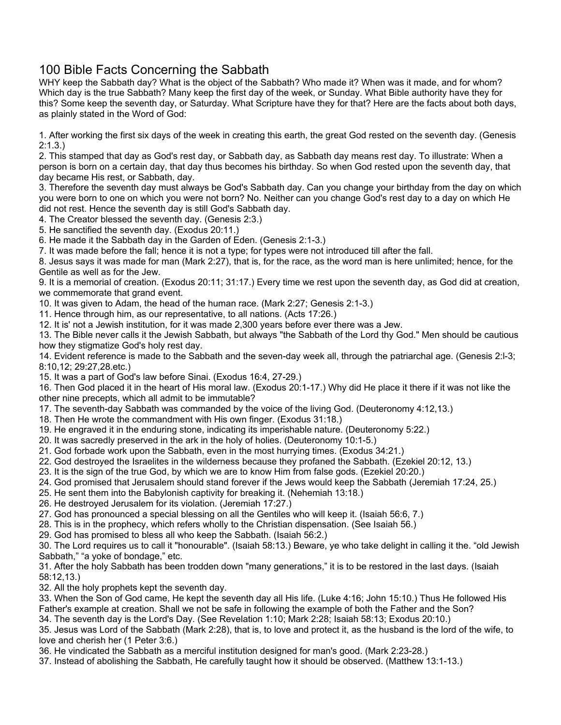## 100 Bible Facts Concerning the Sabbath

WHY keep the Sabbath day? What is the object of the Sabbath? Who made it? When was it made, and for whom? Which day is the true Sabbath? Many keep the first day of the week, or Sunday. What Bible authority have they for this? Some keep the seventh day, or Saturday. What Scripture have they for that? Here are the facts about both days, as plainly stated in the Word of God:

1. After working the first six days of the week in creating this earth, the great God rested on the seventh day. (Genesis 2:1.3.)

2. This stamped that day as God's rest day, or Sabbath day, as Sabbath day means rest day. To illustrate: When a person is born on a certain day, that day thus becomes his birthday. So when God rested upon the seventh day, that day became His rest, or Sabbath, day.

3. Therefore the seventh day must always be God's Sabbath day. Can you change your birthday from the day on which you were born to one on which you were not born? No. Neither can you change God's rest day to a day on which He did not rest. Hence the seventh day is still God's Sabbath day.

4. The Creator blessed the seventh day. (Genesis 2:3.)

5. He sanctified the seventh day. (Exodus 20:11.)

6. He made it the Sabbath day in the Garden of Eden. (Genesis 2:1-3.)

7. It was made before the fall; hence it is not a type; for types were not introduced till after the fall.

8. Jesus says it was made for man (Mark 2:27), that is, for the race, as the word man is here unlimited; hence, for the Gentile as well as for the Jew.

9. It is a memorial of creation. (Exodus 20:11; 31:17.) Every time we rest upon the seventh day, as God did at creation, we commemorate that grand event.

10. It was given to Adam, the head of the human race. (Mark 2:27; Genesis 2:1-3.)

11. Hence through him, as our representative, to all nations. (Acts 17:26.)

12. It is' not a Jewish institution, for it was made 2,300 years before ever there was a Jew.

13. The Bible never calls it the Jewish Sabbath, but always "the Sabbath of the Lord thy God." Men should be cautious how they stigmatize God's holy rest day.

14. Evident reference is made to the Sabbath and the seven-day week all, through the patriarchal age. (Genesis 2:l-3; 8:10,12; 29:27,28.etc.)

15. It was a part of God's law before Sinai. (Exodus 16:4, 27-29.)

16. Then God placed it in the heart of His moral law. (Exodus 20:1-17.) Why did He place it there if it was not like the other nine precepts, which all admit to be immutable?

17. The seventh-day Sabbath was commanded by the voice of the living God. (Deuteronomy 4:12,13.)

18. Then He wrote the commandment with His own finger. (Exodus 31:18.)

19. He engraved it in the enduring stone, indicating its imperishable nature. (Deuteronomy 5:22.)

20. It was sacredly preserved in the ark in the holy of holies. (Deuteronomy 10:1-5.)

21. God forbade work upon the Sabbath, even in the most hurrying times. (Exodus 34:21.)

22. God destroyed the Israelites in the wilderness because they profaned the Sabbath. (Ezekiel 20:12, 13.)

23. It is the sign of the true God, by which we are to know Him from false gods. (Ezekiel 20:20.)

24. God promised that Jerusalem should stand forever if the Jews would keep the Sabbath (Jeremiah 17:24, 25.)

25. He sent them into the Babylonish captivity for breaking it. (Nehemiah 13:18.)

26. He destroyed Jerusalem for its violation. (Jeremiah 17:27.)

27. God has pronounced a special blessing on all the Gentiles who will keep it. (Isaiah 56:6, 7.)

28. This is in the prophecy, which refers wholly to the Christian dispensation. (See Isaiah 56.)

29. God has promised to bless all who keep the Sabbath. (Isaiah 56:2.)

30. The Lord requires us to call it "honourable". (Isaiah 58:13.) Beware, ye who take delight in calling it the. "old Jewish Sabbath," "a yoke of bondage," etc.

31. After the holy Sabbath has been trodden down "many generations," it is to be restored in the last days. (Isaiah 58:12,13.)

32. All the holy prophets kept the seventh day.

33. When the Son of God came, He kept the seventh day all His life. (Luke 4:16; John 15:10.) Thus He followed His Father's example at creation. Shall we not be safe in following the example of both the Father and the Son?

34. The seventh day is the Lord's Day. (See Revelation 1:10; Mark 2:28; Isaiah 58:13; Exodus 20:10.)

35. Jesus was Lord of the Sabbath (Mark 2:28), that is, to love and protect it, as the husband is the lord of the wife, to love and cherish her (1 Peter 3:6.)

36. He vindicated the Sabbath as a merciful institution designed for man's good. (Mark 2:23-28.)

37. Instead of abolishing the Sabbath, He carefully taught how it should be observed. (Matthew 13:1-13.)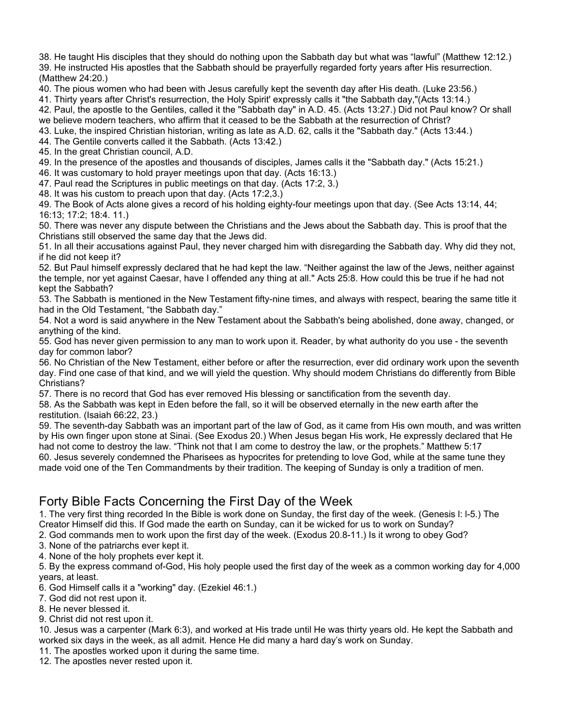38. He taught His disciples that they should do nothing upon the Sabbath day but what was "lawful" (Matthew 12:12.)

39. He instructed His apostles that the Sabbath should be prayerfully regarded forty years after His resurrection. (Matthew 24:20.)

40. The pious women who had been with Jesus carefully kept the seventh day after His death. (Luke 23:56.)

41. Thirty years after Christ's resurrection, the Holy Spirit' expressly calls it "the Sabbath day,"(Acts 13:14.)

42. Paul, the apostle to the Gentiles, called it the "Sabbath day" in A.D. 45. (Acts 13:27.) Did not Paul know? Or shall we believe modern teachers, who affirm that it ceased to be the Sabbath at the resurrection of Christ?

43. Luke, the inspired Christian historian, writing as late as A.D. 62, calls it the "Sabbath day." (Acts 13:44.)

44. The Gentile converts called it the Sabbath. (Acts 13:42.)

45. In the great Christian council, A.D.

49. In the presence of the apostles and thousands of disciples, James calls it the "Sabbath day." (Acts 15:21.)

46. It was customary to hold prayer meetings upon that day. (Acts 16:13.)

47. Paul read the Scriptures in public meetings on that day. (Acts 17:2, 3.)

48. It was his custom to preach upon that day. (Acts 17:2,3.)

49. The Book of Acts alone gives a record of his holding eighty-four meetings upon that day. (See Acts 13:14, 44; 16:13; 17:2; 18:4. 11.)

50. There was never any dispute between the Christians and the Jews about the Sabbath day. This is proof that the Christians still observed the same day that the Jews did.

51. In all their accusations against Paul, they never charged him with disregarding the Sabbath day. Why did they not, if he did not keep it?

52. But Paul himself expressly declared that he had kept the law. "Neither against the law of the Jews, neither against the temple, nor yet against Caesar, have I offended any thing at all." Acts 25:8. How could this be true if he had not kept the Sabbath?

53. The Sabbath is mentioned in the New Testament fifty-nine times, and always with respect, bearing the same title it had in the Old Testament, "the Sabbath day."

54. Not a word is said anywhere in the New Testament about the Sabbath's being abolished, done away, changed, or anything of the kind.

55. God has never given permission to any man to work upon it. Reader, by what authority do you use - the seventh day for common labor?

56. No Christian of the New Testament, either before or after the resurrection, ever did ordinary work upon the seventh day. Find one case of that kind, and we will yield the question. Why should modem Christians do differently from Bible Christians?

57. There is no record that God has ever removed His blessing or sanctification from the seventh day.

58. As the Sabbath was kept in Eden before the fall, so it will be observed eternally in the new earth after the restitution. (Isaiah 66:22, 23.)

59. The seventh-day Sabbath was an important part of the law of God, as it came from His own mouth, and was written by His own finger upon stone at Sinai. (See Exodus 20.) When Jesus began His work, He expressly declared that He had not come to destroy the law. "Think not that I am come to destroy the law, or the prophets." Matthew 5:17 60. Jesus severely condemned the Pharisees as hypocrites for pretending to love God, while at the same tune they made void one of the Ten Commandments by their tradition. The keeping of Sunday is only a tradition of men.

## Forty Bible Facts Concerning the First Day of the Week

1. The very first thing recorded In the Bible is work done on Sunday, the first day of the week. (Genesis l: l-5.) The

Creator Himself did this. If God made the earth on Sunday, can it be wicked for us to work on Sunday?

2. God commands men to work upon the first day of the week. (Exodus 20.8-11.) Is it wrong to obey God?

3. None of the patriarchs ever kept it.

4. None of the holy prophets ever kept it.

5. By the express command of-God, His holy people used the first day of the week as a common working day for 4,000 years, at least.

6. God Himself calls it a "working" day. (Ezekiel 46:1.)

7. God did not rest upon it.

8. He never blessed it.

9. Christ did not rest upon it.

10. Jesus was a carpenter (Mark 6:3), and worked at His trade until He was thirty years old. He kept the Sabbath and worked six days in the week, as all admit. Hence He did many a hard day's work on Sunday.

11. The apostles worked upon it during the same time.

12. The apostles never rested upon it.